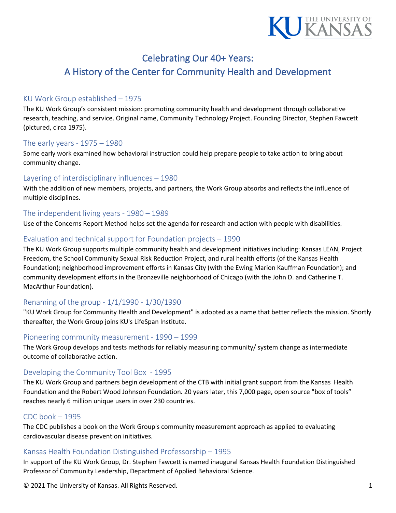

# Celebrating Our 40+ Years:

# A History of the Center for Community Health and Development

# KU Work Group established – 1975

The KU Work Group's consistent mission: promoting community health and development through collaborative research, teaching, and service. Original name, Community Technology Project. Founding Director, Stephen Fawcett (pictured, circa 1975).

# The early years - 1975 – 1980

Some early work examined how behavioral instruction could help prepare people to take action to bring about community change.

## Layering of interdisciplinary influences – 1980

With the addition of new members, projects, and partners, the Work Group absorbs and reflects the influence of multiple disciplines.

## The independent living years - 1980 – 1989

Use of the Concerns Report Method helps set the agenda for research and action with people with disabilities.

# Evaluation and technical support for Foundation projects – 1990

The KU Work Group supports multiple community health and development initiatives including: Kansas LEAN, Project Freedom, the School Community Sexual Risk Reduction Project, and rural health efforts (of the Kansas Health Foundation); neighborhood improvement efforts in Kansas City (with the Ewing Marion Kauffman Foundation); and community development efforts in the Bronzeville neighborhood of Chicago (with the John D. and Catherine T. MacArthur Foundation).

# Renaming of the group - 1/1/1990 - 1/30/1990

"KU Work Group for Community Health and Development" is adopted as a name that better reflects the mission. Shortly thereafter, the Work Group joins KU's LifeSpan Institute.

## Pioneering community measurement - 1990 – 1999

The Work Group develops and tests methods for reliably measuring community/ system change as intermediate outcome of collaborative action.

## Developing the Community Tool Box - 1995

The KU Work Group and partners begin development of the CTB with initial grant support from the Kansas Health Foundation and the Robert Wood Johnson Foundation. 20 years later, this 7,000 page, open source "box of tools" reaches nearly 6 million unique users in over 230 countries.

# CDC book – 1995

The CDC publishes a book on the Work Group's community measurement approach as applied to evaluating cardiovascular disease prevention initiatives.

## Kansas Health Foundation Distinguished Professorship – 1995

In support of the KU Work Group, Dr. Stephen Fawcett is named inaugural Kansas Health Foundation Distinguished Professor of Community Leadership, Department of Applied Behavioral Science.

© 2021 The University of Kansas. All Rights Reserved. 1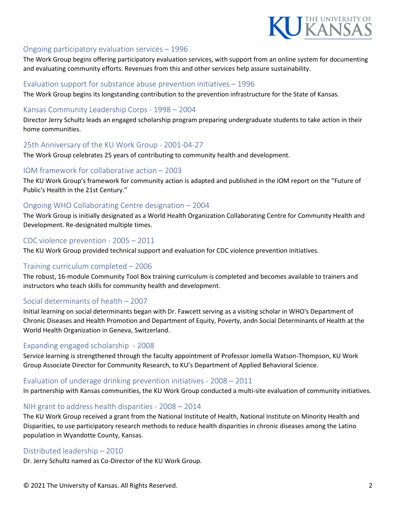

#### Ongoing participatory evaluation services – 1996

The Work Group begins offering participatory evaluation services, with support from an online system for documenting and evaluating community efforts. Revenues from this and other services help assure sustainability.

#### Evaluation support for substance abuse prevention initiatives – 1996

The Work Group begins its longstanding contribution to the prevention infrastructure for the State of Kansas.

#### Kansas Community Leadership Corps - 1998 – 2004

Director Jerry Schultz leads an engaged scholarship program preparing undergraduate students to take action in their home communities.

#### 25th Anniversary of the KU Work Group - 2001-04-27

The Work Group celebrates 25 years of contributing to community health and development.

#### IOM framework for collaborative action – 2003

The KU Work Group's framework for community action is adapted and published in the IOM report on the "Future of Public's Health in the 21st Century."

#### Ongoing WHO Collaborating Centre designation – 2004

The Work Group is initially designated as a World Health Organization Collaborating Centre for Community Health and Development. Re-designated multiple times.

#### CDC violence prevention - 2005 – 2011

The KU Work Group provided technical support and evaluation for CDC violence prevention initiatives.

## Training curriculum completed – 2006

The robust, 16-module Community Tool Box training curriculum is completed and becomes available to trainers and instructors who teach skills for community health and development.

#### Social determinants of health – 2007

Initial learning on social determinants began with Dr. Fawcett serving as a visiting scholar in WHO's Department of Chronic Diseases and Health Promotion and Department of Equity, Poverty, andn Social Determinants of Health at the World Health Organization in Geneva, Switzerland.

#### Expanding engaged scholarship - 2008

Service learning is strengthened through the faculty appointment of Professor Jomella Watson-Thompson, KU Work Group Associate Director for Community Research, to KU's Department of Applied Behavioral Science.

#### Evaluation of underage drinking prevention initiatives - 2008 – 2011

In partnership with Kansas communities, the KU Work Group conducted a multi-site evaluation of community initiatives.

#### NIH grant to address health disparities - 2008 – 2014

The KU Work Group received a grant from the National Institute of Health, National Institute on Minority Health and Disparities, to use participatory research methods to reduce health disparities in chronic diseases among the Latino population in Wyandotte County, Kansas.

#### Distributed leadership – 2010

Dr. Jerry Schultz named as Co-Director of the KU Work Group.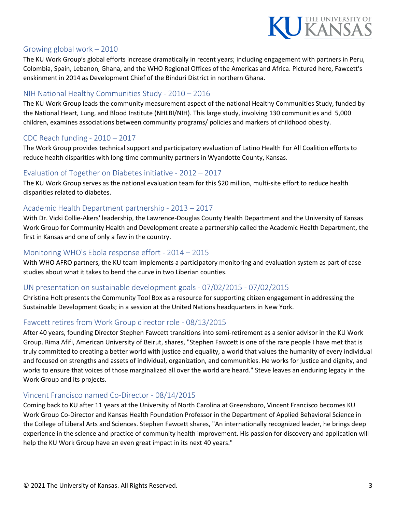

# Growing global work – 2010

The KU Work Group's global efforts increase dramatically in recent years; including engagement with partners in Peru, Colombia, Spain, Lebanon, Ghana, and the WHO Regional Offices of the Americas and Africa. Pictured here, Fawcett's enskinment in 2014 as Development Chief of the Binduri District in northern Ghana.

# NIH National Healthy Communities Study - 2010 – 2016

The KU Work Group leads the community measurement aspect of the national Healthy Communities Study, funded by the National Heart, Lung, and Blood Institute (NHLBI/NIH). This large study, involving 130 communities and 5,000 children, examines associations between community programs/ policies and markers of childhood obesity.

# CDC Reach funding - 2010 – 2017

The Work Group provides technical support and participatory evaluation of Latino Health For All Coalition efforts to reduce health disparities with long-time community partners in Wyandotte County, Kansas.

## Evaluation of Together on Diabetes initiative - 2012 – 2017

The KU Work Group serves as the national evaluation team for this \$20 million, multi-site effort to reduce health disparities related to diabetes.

# Academic Health Department partnership - 2013 – 2017

With Dr. Vicki Collie-Akers' leadership, the Lawrence-Douglas County Health Department and the University of Kansas Work Group for Community Health and Development create a partnership called the Academic Health Department, the first in Kansas and one of only a few in the country.

#### Monitoring WHO's Ebola response effort - 2014 – 2015

With WHO AFRO partners, the KU team implements a participatory monitoring and evaluation system as part of case studies about what it takes to bend the curve in two Liberian counties.

# UN presentation on sustainable development goals - 07/02/2015 - 07/02/2015

Christina Holt presents the Community Tool Box as a resource for supporting citizen engagement in addressing the Sustainable Development Goals; in a session at the United Nations headquarters in New York.

## Fawcett retires from Work Group director role - 08/13/2015

After 40 years, founding Director Stephen Fawcett transitions into semi-retirement as a senior advisor in the KU Work Group. Rima Afifi, American University of Beirut, shares, "Stephen Fawcett is one of the rare people I have met that is truly committed to creating a better world with justice and equality, a world that values the humanity of every individual and focused on strengths and assets of individual, organization, and communities. He works for justice and dignity, and works to ensure that voices of those marginalized all over the world are heard." Steve leaves an enduring legacy in the Work Group and its projects.

## Vincent Francisco named Co-Director - 08/14/2015

Coming back to KU after 11 years at the University of North Carolina at Greensboro, Vincent Francisco becomes KU Work Group Co-Director and Kansas Health Foundation Professor in the Department of Applied Behavioral Science in the College of Liberal Arts and Sciences. Stephen Fawcett shares, "An internationally recognized leader, he brings deep experience in the science and practice of community health improvement. His passion for discovery and application will help the KU Work Group have an even great impact in its next 40 years."